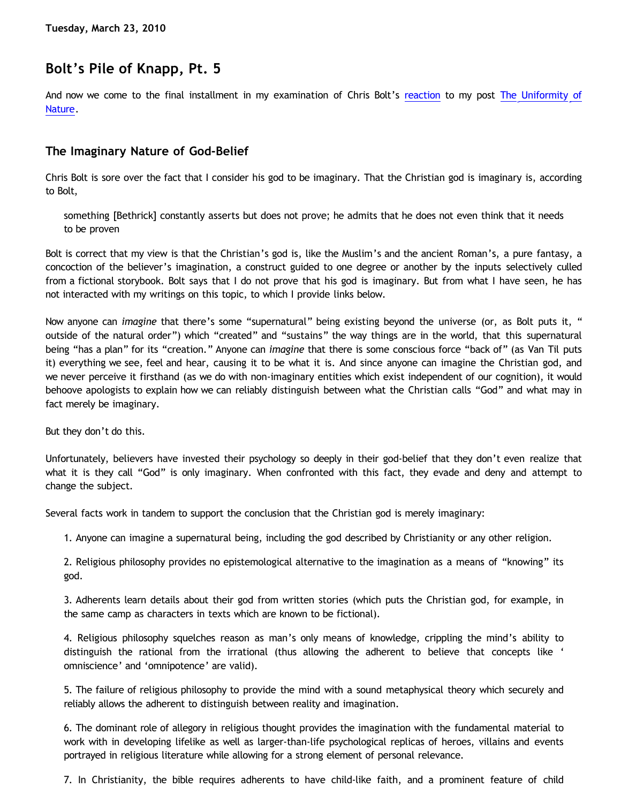## **Bolt's Pile of Knapp, Pt. 5**

And now we come to the final installment in my examination of Chris Bolt's [reaction](http://www.choosinghats.com/?p=997) to my post [The Uniformity of](http://bahnsenburner.blogspot.com/2010/02/uniformity-of-nature.html) [Nature](http://bahnsenburner.blogspot.com/2010/02/uniformity-of-nature.html).

## **The Imaginary Nature of God-Belief**

Chris Bolt is sore over the fact that I consider his god to be imaginary. That the Christian god is imaginary is, according to Bolt,

something [Bethrick] constantly asserts but does not prove; he admits that he does not even think that it needs to be proven

Bolt is correct that my view is that the Christian's god is, like the Muslim's and the ancient Roman's, a pure fantasy, a concoction of the believer's imagination, a construct guided to one degree or another by the inputs selectively culled from a fictional storybook. Bolt says that I do not prove that his god is imaginary. But from what I have seen, he has not interacted with my writings on this topic, to which I provide links below.

Now anyone can *imagine* that there's some "supernatural" being existing beyond the universe (or, as Bolt puts it, " outside of the natural order") which "created" and "sustains" the way things are in the world, that this supernatural being "has a plan" for its "creation." Anyone can *imagine* that there is some conscious force "back of" (as Van Til puts it) everything we see, feel and hear, causing it to be what it is. And since anyone can imagine the Christian god, and we never perceive it firsthand (as we do with non-imaginary entities which exist independent of our cognition), it would behoove apologists to explain how we can reliably distinguish between what the Christian calls "God" and what may in fact merely be imaginary.

But they don't do this.

Unfortunately, believers have invested their psychology so deeply in their god-belief that they don't even realize that what it is they call "God" is only imaginary. When confronted with this fact, they evade and deny and attempt to change the subject.

Several facts work in tandem to support the conclusion that the Christian god is merely imaginary:

1. Anyone can imagine a supernatural being, including the god described by Christianity or any other religion.

2. Religious philosophy provides no epistemological alternative to the imagination as a means of "knowing" its god.

3. Adherents learn details about their god from written stories (which puts the Christian god, for example, in the same camp as characters in texts which are known to be fictional).

4. Religious philosophy squelches reason as man's only means of knowledge, crippling the mind's ability to distinguish the rational from the irrational (thus allowing the adherent to believe that concepts like ' omniscience' and 'omnipotence' are valid).

5. The failure of religious philosophy to provide the mind with a sound metaphysical theory which securely and reliably allows the adherent to distinguish between reality and imagination.

6. The dominant role of allegory in religious thought provides the imagination with the fundamental material to work with in developing lifelike as well as larger-than-life psychological replicas of heroes, villains and events portrayed in religious literature while allowing for a strong element of personal relevance.

7. In Christianity, the bible requires adherents to have child-like faith, and a prominent feature of child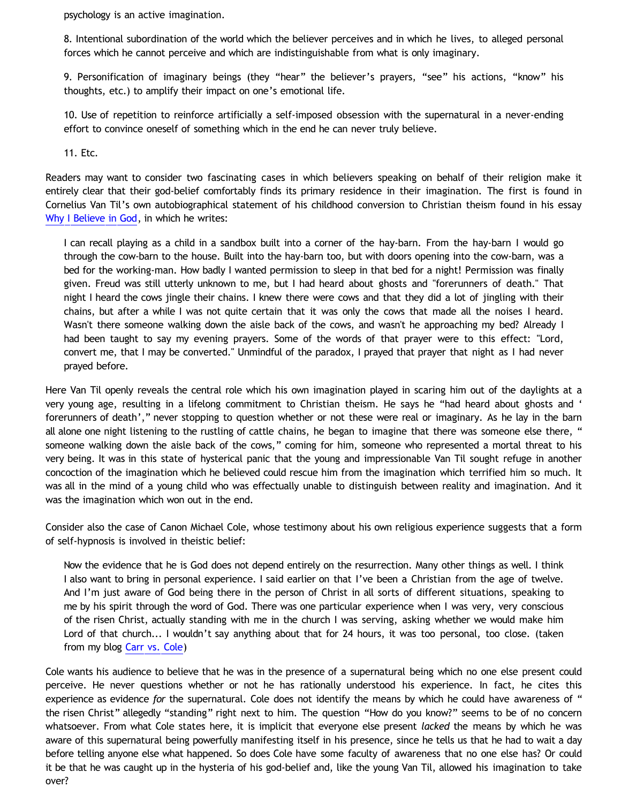psychology is an active imagination.

8. Intentional subordination of the world which the believer perceives and in which he lives, to alleged personal forces which he cannot perceive and which are indistinguishable from what is only imaginary.

9. Personification of imaginary beings (they "hear" the believer's prayers, "see" his actions, "know" his thoughts, etc.) to amplify their impact on one's emotional life.

10. Use of repetition to reinforce artificially a self-imposed obsession with the supernatural in a never-ending effort to convince oneself of something which in the end he can never truly believe.

11. Etc.

Readers may want to consider two fascinating cases in which believers speaking on behalf of their religion make it entirely clear that their god-belief comfortably finds its primary residence in their imagination. The first is found in Cornelius Van Til's own autobiographical statement of his childhood conversion to Christian theism found in his essay [Why I Believe in God,](http://www.reformed.org/apologetics/index.html?mainframe=/apologetics/why_I_believe_cvt.html) in which he writes:

I can recall playing as a child in a sandbox built into a corner of the hay-barn. From the hay-barn I would go through the cow-barn to the house. Built into the hay-barn too, but with doors opening into the cow-barn, was a bed for the working-man. How badly I wanted permission to sleep in that bed for a night! Permission was finally given. Freud was still utterly unknown to me, but I had heard about ghosts and "forerunners of death." That night I heard the cows jingle their chains. I knew there were cows and that they did a lot of jingling with their chains, but after a while I was not quite certain that it was only the cows that made all the noises I heard. Wasn't there someone walking down the aisle back of the cows, and wasn't he approaching my bed? Already I had been taught to say my evening prayers. Some of the words of that prayer were to this effect: "Lord, convert me, that I may be converted." Unmindful of the paradox, I prayed that prayer that night as I had never prayed before.

Here Van Til openly reveals the central role which his own imagination played in scaring him out of the daylights at a very young age, resulting in a lifelong commitment to Christian theism. He says he "had heard about ghosts and ' forerunners of death'," never stopping to question whether or not these were real or imaginary. As he lay in the barn all alone one night listening to the rustling of cattle chains, he began to imagine that there was someone else there, " someone walking down the aisle back of the cows," coming for him, someone who represented a mortal threat to his very being. It was in this state of hysterical panic that the young and impressionable Van Til sought refuge in another concoction of the imagination which he believed could rescue him from the imagination which terrified him so much. It was all in the mind of a young child who was effectually unable to distinguish between reality and imagination. And it was the imagination which won out in the end.

Consider also the case of Canon Michael Cole, whose testimony about his own religious experience suggests that a form of self-hypnosis is involved in theistic belief:

Now the evidence that he is God does not depend entirely on the resurrection. Many other things as well. I think I also want to bring in personal experience. I said earlier on that I've been a Christian from the age of twelve. And I'm just aware of God being there in the person of Christ in all sorts of different situations, speaking to me by his spirit through the word of God. There was one particular experience when I was very, very conscious of the risen Christ, actually standing with me in the church I was serving, asking whether we would make him Lord of that church... I wouldn't say anything about that for 24 hours, it was too personal, too close. (taken from my blog [Carr vs. Cole\)](http://bahnsenburner.blogspot.com/2006/06/carr-vs-cole.html)

Cole wants his audience to believe that he was in the presence of a supernatural being which no one else present could perceive. He never questions whether or not he has rationally understood his experience. In fact, he cites this experience as evidence *for* the supernatural. Cole does not identify the means by which he could have awareness of " the risen Christ" allegedly "standing" right next to him. The question "How do you know?" seems to be of no concern whatsoever. From what Cole states here, it is implicit that everyone else present *lacked* the means by which he was aware of this supernatural being powerfully manifesting itself in his presence, since he tells us that he had to wait a day before telling anyone else what happened. So does Cole have some faculty of awareness that no one else has? Or could it be that he was caught up in the hysteria of his god-belief and, like the young Van Til, allowed his imagination to take over?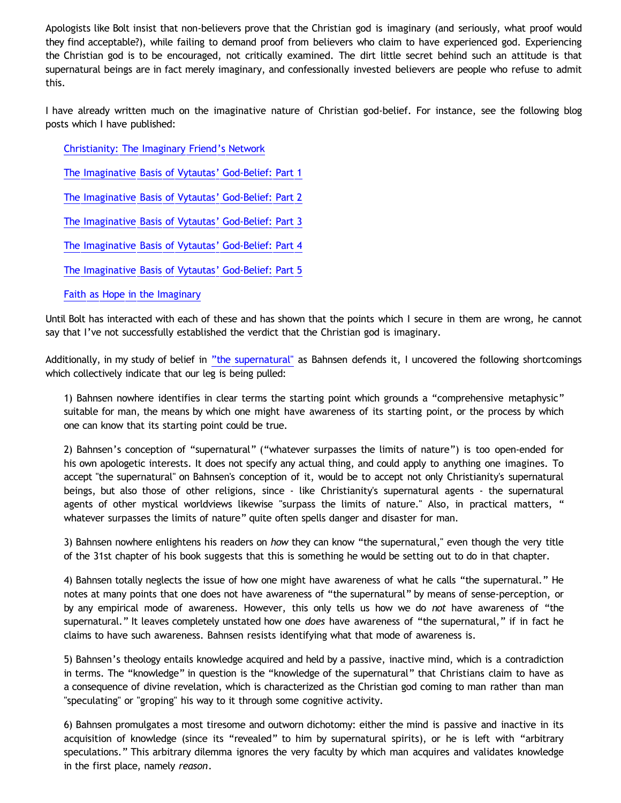Apologists like Bolt insist that non-believers prove that the Christian god is imaginary (and seriously, what proof would they find acceptable?), while failing to demand proof from believers who claim to have experienced god. Experiencing the Christian god is to be encouraged, not critically examined. The dirt little secret behind such an attitude is that supernatural beings are in fact merely imaginary, and confessionally invested believers are people who refuse to admit this.

I have already written much on the imaginative nature of Christian god-belief. For instance, see the following blog posts which I have published:

[Christianity: The Imaginary Friend's Network](http://bahnsenburner.blogspot.com/2006/08/christianity-imaginary-friends-network.html)

[The Imaginative Basis of Vytautas' God-Belief: Part 1](http://bahnsenburner.blogspot.com/2008/01/imaginative-basis-of-vytautas-god.html)

[The Imaginative Basis of Vytautas' God-Belief: Part 2](http://bahnsenburner.blogspot.com/2008/01/imaginative-basis-of-vytautas-god_13.html)

[The Imaginative Basis of Vytautas' God-Belief: Part 3](http://bahnsenburner.blogspot.com/2008/01/imaginative-basis-of-vytautas-god_14.html)

[The Imaginative Basis of Vytautas' God-Belief: Part 4](http://bahnsenburner.blogspot.com/2008/01/imaginative-basis-of-vytautas-god_17.html)

[The Imaginative Basis of Vytautas' God-Belief: Part 5](http://bahnsenburner.blogspot.com/2008/01/imaginative-basis-of-vytautas-god_18.html)

[Faith as Hope in the Imaginary](http://bahnsenburner.blogspot.com/2008/06/faith-as-hope-in-imaginary.html)

Until Bolt has interacted with each of these and has shown that the points which I secure in them are wrong, he cannot say that I've not successfully established the verdict that the Christian god is imaginary.

Additionally, in my study of belief in ["the supernatural"](http://www.katholon.com/Bahnsen_Supernatural.htm) as Bahnsen defends it, I uncovered the following shortcomings which collectively indicate that our leg is being pulled:

1) Bahnsen nowhere identifies in clear terms the starting point which grounds a "comprehensive metaphysic" suitable for man, the means by which one might have awareness of its starting point, or the process by which one can know that its starting point could be true.

2) Bahnsen's conception of "supernatural" ("whatever surpasses the limits of nature") is too open-ended for his own apologetic interests. It does not specify any actual thing, and could apply to anything one imagines. To accept "the supernatural" on Bahnsen's conception of it, would be to accept not only Christianity's supernatural beings, but also those of other religions, since - like Christianity's supernatural agents - the supernatural agents of other mystical worldviews likewise "surpass the limits of nature." Also, in practical matters, " whatever surpasses the limits of nature" quite often spells danger and disaster for man.

3) Bahnsen nowhere enlightens his readers on *how* they can know "the supernatural," even though the very title of the 31st chapter of his book suggests that this is something he would be setting out to do in that chapter.

4) Bahnsen totally neglects the issue of how one might have awareness of what he calls "the supernatural." He notes at many points that one does not have awareness of "the supernatural" by means of sense-perception, or by any empirical mode of awareness. However, this only tells us how we do *not* have awareness of "the supernatural." It leaves completely unstated how one *does* have awareness of "the supernatural," if in fact he claims to have such awareness. Bahnsen resists identifying what that mode of awareness is.

5) Bahnsen's theology entails knowledge acquired and held by a passive, inactive mind, which is a contradiction in terms. The "knowledge" in question is the "knowledge of the supernatural" that Christians claim to have as a consequence of divine revelation, which is characterized as the Christian god coming to man rather than man "speculating" or "groping" his way to it through some cognitive activity.

6) Bahnsen promulgates a most tiresome and outworn dichotomy: either the mind is passive and inactive in its acquisition of knowledge (since its "revealed" to him by supernatural spirits), or he is left with "arbitrary speculations." This arbitrary dilemma ignores the very faculty by which man acquires and validates knowledge in the first place, namely *reason*.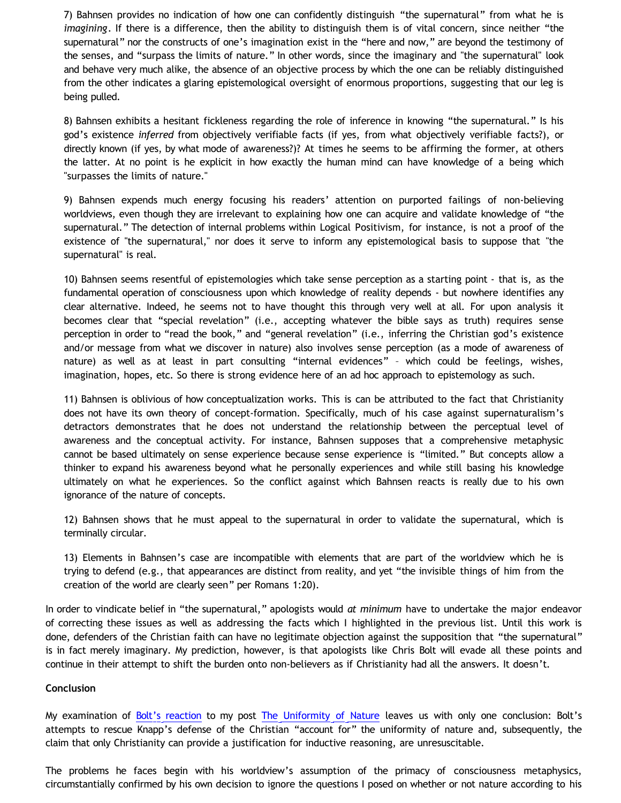7) Bahnsen provides no indication of how one can confidently distinguish "the supernatural" from what he is *imagining*. If there is a difference, then the ability to distinguish them is of vital concern, since neither "the supernatural" nor the constructs of one's imagination exist in the "here and now," are beyond the testimony of the senses, and "surpass the limits of nature." In other words, since the imaginary and "the supernatural" look and behave very much alike, the absence of an objective process by which the one can be reliably distinguished from the other indicates a glaring epistemological oversight of enormous proportions, suggesting that our leg is being pulled.

8) Bahnsen exhibits a hesitant fickleness regarding the role of inference in knowing "the supernatural." Is his god's existence *inferred* from objectively verifiable facts (if yes, from what objectively verifiable facts?), or directly known (if yes, by what mode of awareness?)? At times he seems to be affirming the former, at others the latter. At no point is he explicit in how exactly the human mind can have knowledge of a being which "surpasses the limits of nature."

9) Bahnsen expends much energy focusing his readers' attention on purported failings of non-believing worldviews, even though they are irrelevant to explaining how one can acquire and validate knowledge of "the supernatural." The detection of internal problems within Logical Positivism, for instance, is not a proof of the existence of "the supernatural," nor does it serve to inform any epistemological basis to suppose that "the supernatural" is real.

10) Bahnsen seems resentful of epistemologies which take sense perception as a starting point - that is, as the fundamental operation of consciousness upon which knowledge of reality depends - but nowhere identifies any clear alternative. Indeed, he seems not to have thought this through very well at all. For upon analysis it becomes clear that "special revelation" (i.e., accepting whatever the bible says as truth) requires sense perception in order to "read the book," and "general revelation" (i.e., inferring the Christian god's existence and/or message from what we discover in nature) also involves sense perception (as a mode of awareness of nature) as well as at least in part consulting "internal evidences" – which could be feelings, wishes, imagination, hopes, etc. So there is strong evidence here of an ad hoc approach to epistemology as such.

11) Bahnsen is oblivious of how conceptualization works. This is can be attributed to the fact that Christianity does not have its own theory of concept-formation. Specifically, much of his case against supernaturalism's detractors demonstrates that he does not understand the relationship between the perceptual level of awareness and the conceptual activity. For instance, Bahnsen supposes that a comprehensive metaphysic cannot be based ultimately on sense experience because sense experience is "limited." But concepts allow a thinker to expand his awareness beyond what he personally experiences and while still basing his knowledge ultimately on what he experiences. So the conflict against which Bahnsen reacts is really due to his own ignorance of the nature of concepts.

12) Bahnsen shows that he must appeal to the supernatural in order to validate the supernatural, which is terminally circular.

13) Elements in Bahnsen's case are incompatible with elements that are part of the worldview which he is trying to defend (e.g., that appearances are distinct from reality, and yet "the invisible things of him from the creation of the world are clearly seen" per Romans 1:20).

In order to vindicate belief in "the supernatural," apologists would *at minimum* have to undertake the major endeavor of correcting these issues as well as addressing the facts which I highlighted in the previous list. Until this work is done, defenders of the Christian faith can have no legitimate objection against the supposition that "the supernatural" is in fact merely imaginary. My prediction, however, is that apologists like Chris Bolt will evade all these points and continue in their attempt to shift the burden onto non-believers as if Christianity had all the answers. It doesn't.

## **Conclusion**

My examination of [Bolt's reaction](http://www.choosinghats.com/?p=997) to my post [The Uniformity of Nature](http://bahnsenburner.blogspot.com/2010/02/uniformity-of-nature.html) leaves us with only one conclusion: Bolt's attempts to rescue Knapp's defense of the Christian "account for" the uniformity of nature and, subsequently, the claim that only Christianity can provide a justification for inductive reasoning, are unresuscitable.

The problems he faces begin with his worldview's assumption of the primacy of consciousness metaphysics, circumstantially confirmed by his own decision to ignore the questions I posed on whether or not nature according to his